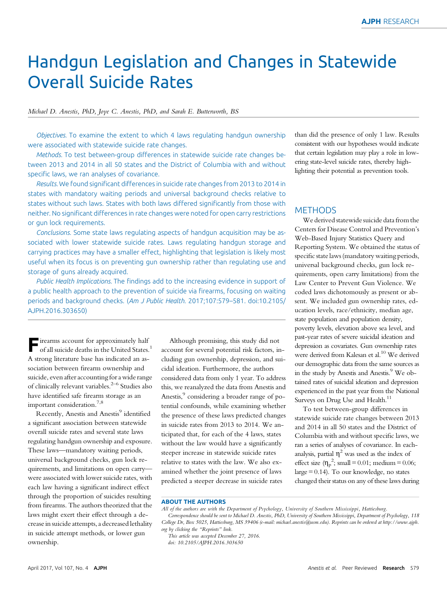# Handgun Legislation and Changes in Statewide Overall Suicide Rates

#### Michael D. Anestis, PhD, Joye C. Anestis, PhD, and Sarah E. Butterworth, BS

Objectives. To examine the extent to which 4 laws regulating handgun ownership were associated with statewide suicide rate changes.

Methods. To test between-group differences in statewide suicide rate changes between 2013 and 2014 in all 50 states and the District of Columbia with and without specific laws, we ran analyses of covariance.

Results. We found significant differences in suicide rate changes from 2013 to 2014 in states with mandatory waiting periods and universal background checks relative to states without such laws. States with both laws differed significantly from those with neither. No significant differences in rate changes were noted for open carry restrictions or gun lock requirements.

Conclusions. Some state laws regulating aspects of handgun acquisition may be associated with lower statewide suicide rates. Laws regulating handgun storage and carrying practices may have a smaller effect, highlighting that legislation is likely most useful when its focus is on preventing gun ownership rather than regulating use and storage of guns already acquired.

Public Health Implications. The findings add to the increasing evidence in support of a public health approach to the prevention of suicide via firearms, focusing on waiting periods and background checks. (Am J Public Health. 2017;107:579–581. doi:10.2105/ AJPH.2016.303650)

**Firearms account for approximately half** of all suicide deaths in the United States.<sup>1</sup> A strong literature base has indicated an association between firearm ownership and suicide, even after accounting for a wide range of clinically relevant variables.2–<sup>6</sup> Studies also have identified safe firearm storage as an important consideration.<sup>7,8</sup>

Recently, Anestis and Anestis<sup>9</sup> identified a significant association between statewide overall suicide rates and several state laws regulating handgun ownership and exposure. These laws—mandatory waiting periods, universal background checks, gun lock requirements, and limitations on open carry were associated with lower suicide rates, with each law having a significant indirect effect through the proportion of suicides resulting from firearms. The authors theorized that the laws might exert their effect through a decrease in suicide attempts, a decreased lethality in suicide attempt methods, or lower gun ownership.

Although promising, this study did not account for several potential risk factors, including gun ownership, depression, and suicidal ideation. Furthermore, the authors considered data from only 1 year. To address this, we reanalyzed the data from Anestis and Anestis,<sup>9</sup> considering a broader range of potential confounds, while examining whether the presence of these laws predicted changes in suicide rates from 2013 to 2014. We anticipated that, for each of the 4 laws, states without the law would have a significantly steeper increase in statewide suicide rates relative to states with the law. We also examined whether the joint presence of laws predicted a steeper decrease in suicide rates

than did the presence of only 1 law. Results consistent with our hypotheses would indicate that certain legislation may play a role in lowering state-level suicide rates, thereby highlighting their potential as prevention tools.

### **METHODS**

We derived statewide suicide data from the Centers for Disease Control and Prevention's Web-Based Injury Statistics Query and Reporting System. We obtained the status of specific state laws (mandatory waiting periods, universal background checks, gun lock requirements, open carry limitations) from the Law Center to Prevent Gun Violence. We coded laws dichotomously as present or absent. We included gun ownership rates, education levels, race/ethnicity, median age, state population and population density, poverty levels, elevation above sea level, and past-year rates of severe suicidal ideation and depression as covariates. Gun ownership rates were derived from Kalesan et al.<sup>10</sup> We derived our demographic data from the same sources as in the study by Anestis and Anestis.<sup>9</sup> We obtained rates of suicidal ideation and depression experienced in the past year from the National Surveys on Drug Use and Health.<sup>11</sup>

To test between-group differences in statewide suicide rate changes between 2013 and 2014 in all 50 states and the District of Columbia with and without specific laws, we ran a series of analyses of covariance. In eachanalysis, partial  $\eta^2$  was used as the index of effect size  $(\eta_p^2$ ; small = 0.01; medium = 0.06; large = 0.14). To our knowledge, no states changed their status on any of these laws during

**ABOUT THE AUTHORS**<br>All of the authors are with the Department of Psychology, University of Southern Mississippi, Hattiesburg.

Correspondence should be sent to Michael D. Anestis, PhD, University of Southern Mississippi, Department of Psychology, 118 College Dr, Box 5025, Hattiesburg, MS 39406 (e-mail: [michael.anestis@usm.edu\)](mailto:michael.anestis@usm.edu). Reprints can be ordered at [http://www.ajph.](http://www.ajph.org) [org](http://www.ajph.org) by clicking the "Reprints" link.

doi: 10.2105/AJPH.2016.303650

This article was accepted December 27, 2016.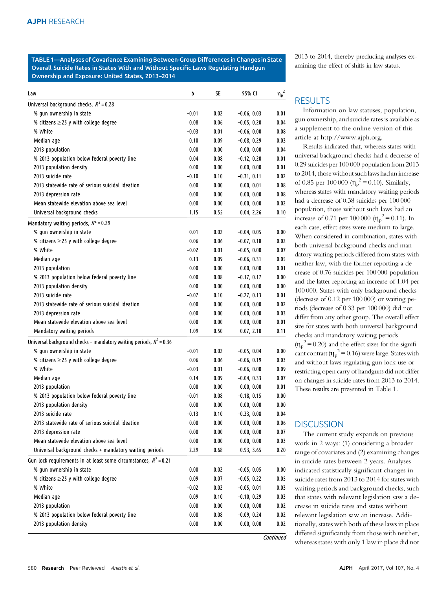TABLE 1—Analyses of Covariance Examining Between-Group Differences in Changes in State Overall Suicide Rates in States With and Without Specific Laws Regulating Handgun Ownership and Exposure: United States, 2013–2014

| Law                                                                   | b               | SE               | 95% CI                   | $\eta_p^2$   |
|-----------------------------------------------------------------------|-----------------|------------------|--------------------------|--------------|
| Universal background checks, $R^2$ = 0.28                             |                 |                  |                          |              |
| % gun ownership in state                                              | $-0.01$         | 0.02             | $-0.06, 0.03$            | 0.01         |
| % citizens $\geq$ 25 y with college degree                            | 0.08            | 0.06             | $-0.05, 0.20$            | 0.04         |
| % White                                                               | $-0.03$         | 0.01             | $-0.06, 0.00$            | 0.08         |
| Median age                                                            | 0.10            | 0.09             | $-0.08, 0.29$            | 0.03         |
| 2013 population                                                       | 0.00            | 0.00             | 0.00, 0.00               | 0.04         |
| % 2013 population below federal poverty line                          | 0.04            | 0.08             | $-0.12, 0.20$            | 0.01         |
| 2013 population density                                               | 0.00            | 0.00             | 0.00, 0.00               | 0.01         |
| 2013 suicide rate                                                     | $-0.10$         | 0.10             | $-0.31, 0.11$            | 0.02         |
| 2013 statewide rate of serious suicidal ideation                      | 0.00            | 0.00             | 0.00, 0.01               | 0.08         |
| 2013 depression rate                                                  | 0.00            | 0.00             | 0.00, 0.00               | 0.08         |
| Mean statewide elevation above sea level                              | 0.00            | 0.00             | 0.00, 0.00               | 0.02         |
| Universal background checks                                           | 1.15            | 0.55             | 0.04, 2.26               | 0.10         |
| Mandatory waiting periods, $R^2$ = 0.29                               |                 |                  |                          |              |
| % gun ownership in state                                              | 0.01            | 0.02             | $-0.04, 0.05$            | 0.00         |
| % citizens $\geq$ 25 y with college degree                            | 0.06            | 0.06             | $-0.07, 0.18$            | 0.02         |
| % White                                                               | $-0.02$         | 0.01             | $-0.05, 0.00$            | 0.07         |
| Median age                                                            | 0.13            | 0.09             | $-0.06, 0.31$            | 0.05         |
| 2013 population                                                       | 0.00            | 0.00             | 0.00, 0.00               | 0.01         |
| % 2013 population below federal poverty line                          | 0.00            | 0.08             | $-0.17, 0.17$            | 0.00         |
| 2013 population density                                               | 0.00            | 0.00             | 0.00, 0.00               | 0.00         |
| 2013 suicide rate                                                     | $-0.07$         | 0.10             | $-0.27, 0.13$            | 0.01         |
| 2013 statewide rate of serious suicidal ideation                      | 0.00            | 0.00             | 0.00, 0.00               | 0.02         |
| 2013 depression rate                                                  | 0.00            | 0.00             | 0.00, 0.00               | 0.03         |
| Mean statewide elevation above sea level                              | 0.00            | 0.00             | 0.00, 0.00               | 0.01         |
| Mandatory waiting periods                                             | 1.09            | 0.50             | 0.07, 2.10               | 0.11         |
| Universal background checks + mandatory waiting periods, $R^2$ = 0.36 |                 |                  |                          |              |
| % gun ownership in state                                              | $-0.01$         | 0.02             | $-0.05, 0.04$            | 0.00         |
|                                                                       | 0.06            | 0.06             | $-0.06, 0.19$            | 0.03         |
| % citizens $\geq$ 25 y with college degree<br>% White                 | $-0.03$         | 0.01             | $-0.06, 0.00$            | 0.09         |
| Median age                                                            | 0.14            | 0.09             | $-0.04, 0.33$            | 0.07         |
|                                                                       |                 |                  |                          | 0.01         |
| 2013 population<br>% 2013 population below federal poverty line       | 0.00            | 0.00             | 0.00, 0.00               | 0.00         |
| 2013 population density                                               | $-0.01$<br>0.00 | 0.08             | $-0.18, 0.15$            | 0.00         |
| 2013 suicide rate                                                     |                 | 0.00<br>0.10     | 0.00, 0.00               | 0.04         |
|                                                                       | $-0.13$         |                  | $-0.33, 0.08$            |              |
| 2013 statewide rate of serious suicidal ideation                      | 0.00            | 0.00             | 0.00, 0.00               | 0.06         |
| 2013 depression rate<br>Mean statewide elevation above sea level      | 0.00<br>0.00    | $0.00\,$<br>0.00 | 0.00, 0.00<br>0.00, 0.00 | 0.07<br>0.03 |
|                                                                       |                 |                  |                          |              |
| Universal background checks + mandatory waiting periods               | 2.29            | 0.68             | 0.93, 3.65               | 0.20         |
| Gun lock requirements in at least some circumstances, $R^2 = 0.21$    |                 |                  |                          |              |
| % gun ownership in state                                              | 0.00            | 0.02             | $-0.05, 0.05$            | 0.00         |
| % citizens $\geq$ 25 y with college degree                            | 0.09            | 0.07             | $-0.05, 0.22$            | 0.05         |
| % White                                                               | $-0.02$         | 0.02             | $-0.05, 0.01$            | 0.03         |
| Median age                                                            | 0.09            | 0.10             | $-0.10, 0.29$            | 0.03         |
| 2013 population                                                       | 0.00            | 0.00             | 0.00, 0.00               | 0.02         |
| % 2013 population below federal poverty line                          | 0.08            | 0.08             | $-0.09, 0.24$            | 0.02         |
| 2013 population density                                               | 0.00            | 0.00             | 0.00, 0.00               | 0.02         |

2013 to 2014, thereby precluding analyses examining the effect of shifts in law status.

## **RESULTS**

Information on law statuses, population, gun ownership, and suicide rates is available as a supplement to the online version of this article at [http://www.ajph.org.](http://www.ajph.org)

Results indicated that, whereas states with universal background checks had a decrease of 0.29 suicides per 100 000 population from 2013 to 2014, those without such laws had an increase of 0.85 per 100 000  $(\eta_p^2 = 0.10)$ . Similarly, whereas states with mandatory waiting periods had a decrease of 0.38 suicides per 100 000 population, those without such laws had an increase of 0.71 per 100 000  $(\eta_p^2 = 0.11)$ . In each case, effect sizes were medium to large. When considered in combination, states with both universal background checks and mandatory waiting periods differed from states with neither law, with the former reporting a decrease of 0.76 suicides per 100 000 population and the latter reporting an increase of 1.04 per 100 000. States with only background checks (decrease of 0.12 per 100 000) or waiting periods (decrease of 0.33 per 100 000) did not differ from any other group. The overall effect size for states with both universal background checks and mandatory waiting periods  $(\eta_p^2 = 0.20)$  and the effect sizes for the significant contrast ( $\eta_p^2$  = 0.16) were large. States with and without laws regulating gun lock use or restricting open carry of handguns did not differ on changes in suicide rates from 2013 to 2014. These results are presented in Table 1.

#### **DISCUSSION**

The current study expands on previous work in 2 ways: (1) considering a broader range of covariates and (2) examining changes in suicide rates between 2 years. Analyses indicated statistically significant changes in suicide rates from 2013 to 2014 for states with waiting periods and background checks, such that states with relevant legislation saw a decrease in suicide rates and states without relevant legislation saw an increase. Additionally, states with both of these laws in place differed significantly from those with neither, whereas states with only 1 law in place did not

**Continued**